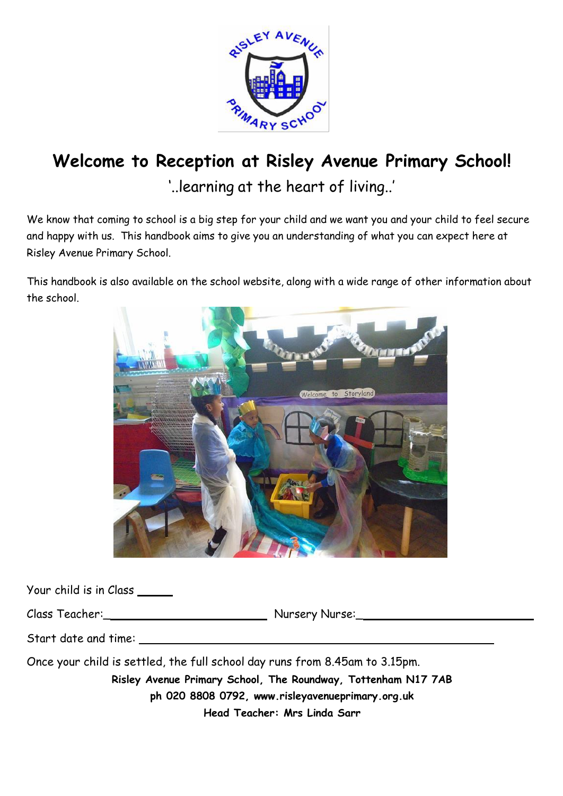

# **Welcome to Reception at Risley Avenue Primary School!**

'..learning at the heart of living..'

We know that coming to school is a big step for your child and we want you and your child to feel secure and happy with us. This handbook aims to give you an understanding of what you can expect here at Risley Avenue Primary School.

This handbook is also available on the school website, along with a wide range of other information about the school.



Your child is in Class

Class Teacher:\_ Nursery Nurse:\_

Start date and time:

Once your child is settled, the full school day runs from 8.45am to 3.15pm. **Risley Avenue Primary School, The Roundway, Tottenham N17 7AB ph 020 8808 079[2, www.risleyavenueprimary.org.uk](http://www.risleyavenueprimary.org.uk/) Head Teacher: Mrs Linda Sarr**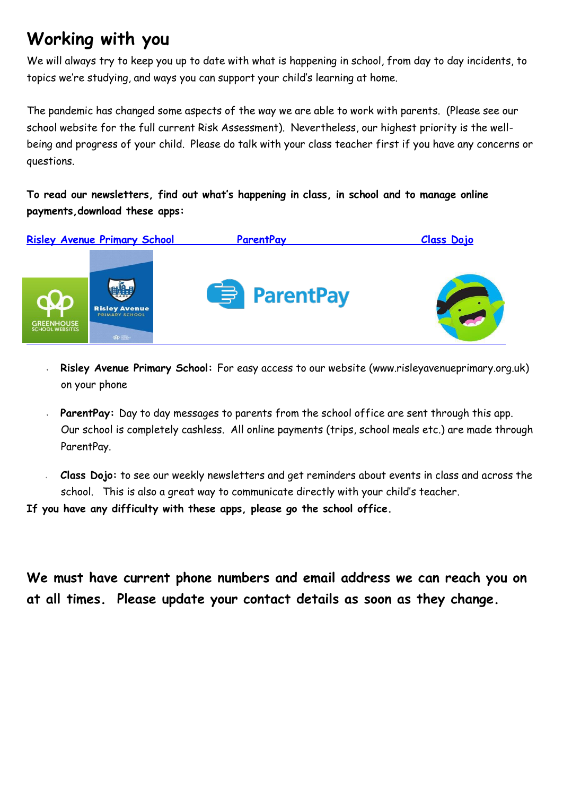## **Working with you**

We will always try to keep you up to date with what is happening in school, from day to day incidents, to topics we're studying, and ways you can support your child's learning at home.

The pandemic has changed some aspects of the way we are able to work with parents. (Please see our school website for the full current Risk Assessment). Nevertheless, our highest priority is the wellbeing and progress of your child. Please do talk with your class teacher first if you have any concerns or questions.

**To read our newsletters, find out what's happening in class, in school and to manage online payments,download these apps:**



- **Risley Avenue Primary School:** For easy access to our website (www.risleyavenueprimary.org.uk) on your phone
- **ParentPay:** Day to day messages to parents from the school office are sent through this app. Our school is completely cashless. All online payments (trips, school meals etc.) are made through ParentPay.
- **Class Dojo:** to see our weekly newsletters and get reminders about events in class and across the school. This is also a great way to communicate directly with your child's teacher.

**If you have any difficulty with these apps, please go the school office.**

**We must have current phone numbers and email address we can reach you on at all times. Please update your contact details as soon as they change.**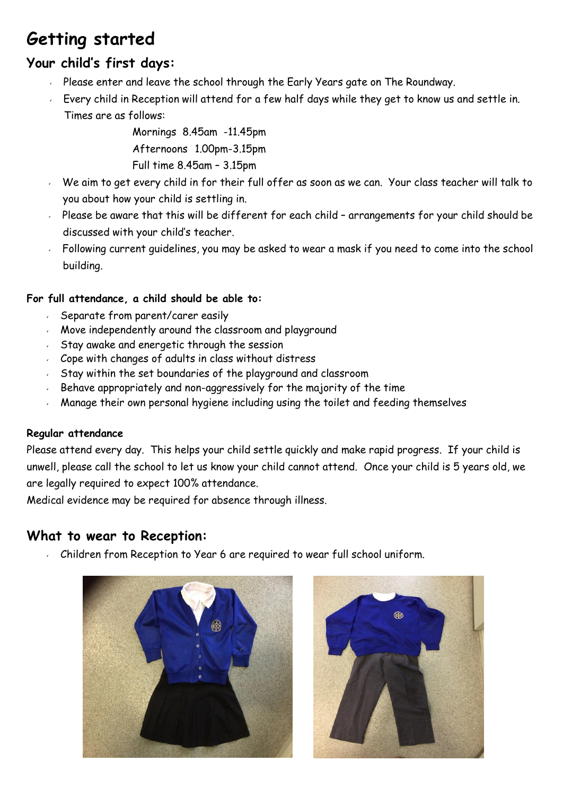## **Getting started**

#### **Your child's first days:**

- Please enter and leave the school through the Early Years gate on The Roundway.
- Every child in Reception will attend for a few half days while they get to know us and settle in. Times are as follows:

Mornings 8.45am -11.45pm Afternoons 1.00pm-3.15pm Full time 8.45am – 3.15pm

- We aim to get every child in for their full offer as soon as we can. Your class teacher will talk to you about how your child is settling in.
- $\sim$  Please be aware that this will be different for each child arrangements for your child should be discussed with your child's teacher.
- Following current guidelines, you may be asked to wear a mask if you need to come into the school building.

#### **For full attendance, a child should be able to:**

- Separate from parent/carer easily
- Move independently around the classroom and playground
- $5$  Stay awake and energetic through the session
- Cope with changes of adults in class without distress
- Stay within the set boundaries of the playground and classroom
- Behave appropriately and non-aggressively for the majority of the time
- Manage their own personal hygiene including using the toilet and feeding themselves

#### **Regular attendance**

Please attend every day. This helps your child settle quickly and make rapid progress. If your child is unwell, please call the school to let us know your child cannot attend. Once your child is 5 years old, we are legally required to expect 100% attendance.

Medical evidence may be required for absence through illness.

#### **What to wear to Reception:**

Children from Reception to Year 6 are required to wear full school uniform.



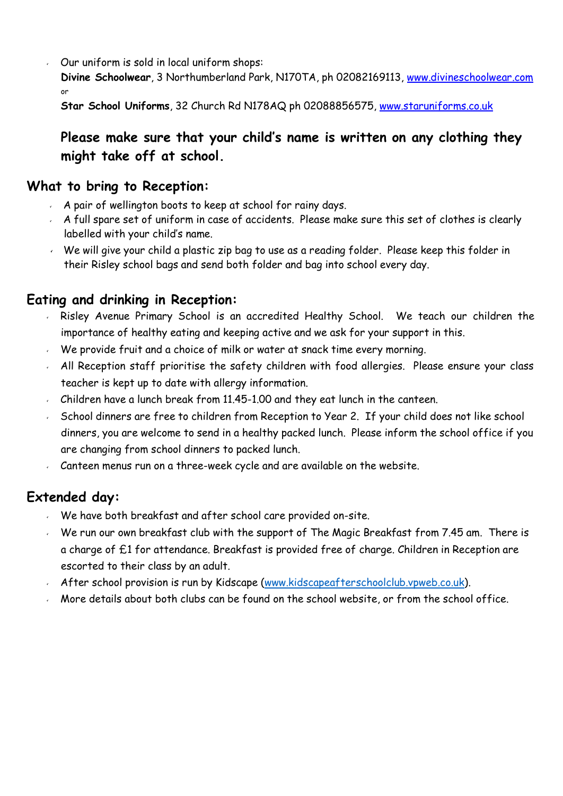Our uniform is sold in local uniform shops:

**Divine Schoolwear**, 3 Northumberland Park, N170TA, ph 02082169113, [www.divineschoolwear.com](http://www.divineschoolwear.com/) or

**Star School Uniforms**, 32 Church Rd N178AQ ph 02088856575, [www.staruniforms.co.uk](http://www.staruniforms.co.uk/)

### **Please make sure that your child's name is written on any clothing they might take off at school.**

#### **What to bring to Reception:**

- A pair of wellington boots to keep at school for rainy days.
- $\sim$  A full spare set of uniform in case of accidents. Please make sure this set of clothes is clearly labelled with your child's name.
- $\sim$  We will give your child a plastic zip bag to use as a reading folder. Please keep this folder in their Risley school bags and send both folder and bag into school every day.

### **Eating and drinking in Reception:**

- Risley Avenue Primary School is an accredited Healthy School. We teach our children the importance of healthy eating and keeping active and we ask for your support in this.
- We provide fruit and a choice of milk or water at snack time every morning.
- $\sim$  All Reception staff prioritise the safety children with food allergies. Please ensure your class teacher is kept up to date with allergy information.
- Children have a lunch break from 11.45-1.00 and they eat lunch in the canteen.
- School dinners are free to children from Reception to Year 2. If your child does not like school dinners, you are welcome to send in a healthy packed lunch. Please inform the school office if you are changing from school dinners to packed lunch.
- Canteen menus run on a three-week cycle and are available on the website.

## **Extended day:**

- We have both breakfast and after school care provided on-site.
- $\sim$  We run our own breakfast club with the support of The Magic Breakfast from 7.45 am. There is a charge of £1 for attendance. Breakfast is provided free of charge. Children in Reception are escorted to their class by an adult.
- After school provision is run by Kidscape [\(www.kidscapeafterschoolclub.vpweb.co.uk\)](www.kidscapeafterschoolclub.vpweb.co.uk).
- More details about both clubs can be found on the school website, or from the school office.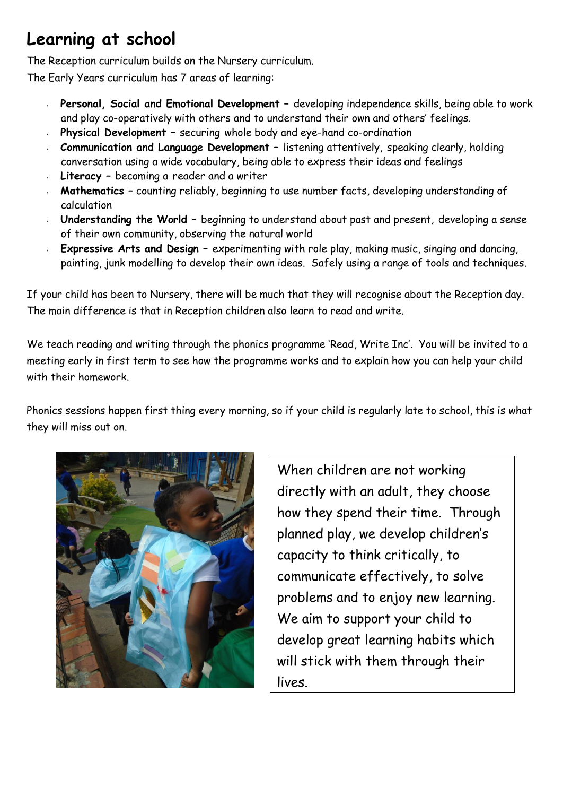## **Learning at school**

The Reception curriculum builds on the Nursery curriculum.

The Early Years curriculum has 7 areas of learning:

- **Personal, Social and Emotional Development –** developing independence skills, being able to work and play co-operatively with others and to understand their own and others' feelings.
- **Physical Development –** securing whole body and eye-hand co-ordination
- **Communication and Language Development –** listening attentively, speaking clearly, holding conversation using a wide vocabulary, being able to express their ideas and feelings
- **Literacy –** becoming a reader and a writer
- **Mathematics –** counting reliably, beginning to use number facts, developing understanding of calculation
- **Understanding the World –** beginning to understand about past and present, developing a sense of their own community, observing the natural world
- **Expressive Arts and Design –** experimenting with role play, making music, singing and dancing, painting, junk modelling to develop their own ideas. Safely using a range of tools and techniques.

If your child has been to Nursery, there will be much that they will recognise about the Reception day. The main difference is that in Reception children also learn to read and write.

We teach reading and writing through the phonics programme 'Read, Write Inc'. You will be invited to a meeting early in first term to see how the programme works and to explain how you can help your child with their homework.

Phonics sessions happen first thing every morning, so if your child is regularly late to school, this is what they will miss out on.



When children are not working directly with an adult, they choose how they spend their time. Through planned play, we develop children's capacity to think critically, to communicate effectively, to solve problems and to enjoy new learning. We aim to support your child to develop great learning habits which will stick with them through their lives.